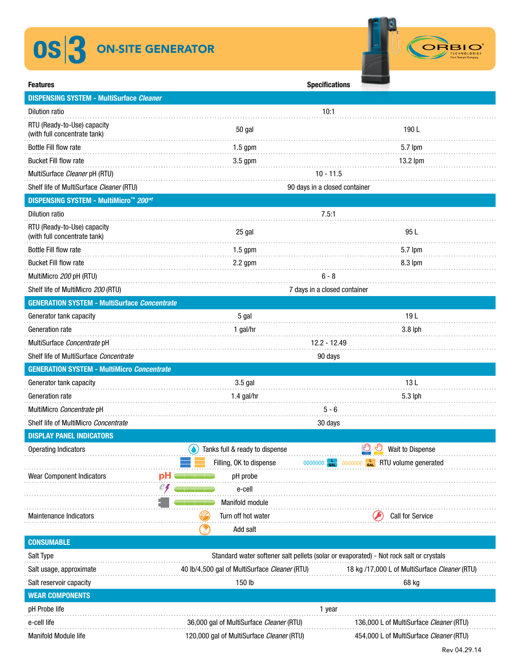## OS<sup>3</sup> ON-SITE GENERATOR



| <b>Features</b>                                             |    | <b>Specifications</b>                                                                  |                                               |  |  |
|-------------------------------------------------------------|----|----------------------------------------------------------------------------------------|-----------------------------------------------|--|--|
| <b>DISPENSING SYSTEM - MultiSurface Cleaner</b>             |    |                                                                                        |                                               |  |  |
| <b>Dilution ratio</b>                                       |    | 10:1                                                                                   |                                               |  |  |
| RTU (Ready-to-Use) capacity<br>(with full concentrate tank) |    | 50 gal                                                                                 | 190 L                                         |  |  |
| Bottle Fill flow rate                                       |    | $1.5$ gpm                                                                              | 5.7 lpm                                       |  |  |
| <b>Bucket Fill flow rate</b>                                |    | $3.5$ gpm                                                                              | 13.2 lpm                                      |  |  |
| MultiSurface Cleaner pH (RTU)                               |    | $10 - 11.5$                                                                            |                                               |  |  |
| Shelf life of MultiSurface Cleaner (RTU)                    |    | 90 days in a closed container                                                          |                                               |  |  |
| <b>DISPENSING SYSTEM - MultiMicro™ 200*</b>                 |    |                                                                                        |                                               |  |  |
| <b>Dilution ratio</b>                                       |    |                                                                                        | 7.5:1                                         |  |  |
| RTU (Ready-to-Use) capacity<br>(with full concentrate tank) |    | 25 gal                                                                                 | 95 L                                          |  |  |
| <b>Bottle Fill flow rate</b>                                |    | $1.5$ gpm                                                                              | 5.7 lpm                                       |  |  |
| <b>Bucket Fill flow rate</b>                                |    | $2.2$ gpm                                                                              | 8.3 lpm                                       |  |  |
| MultiMicro 200 pH (RTU)                                     |    | 6 - 8                                                                                  |                                               |  |  |
| Shelf life of MultiMicro 200 (RTU)                          |    | 7 days in a closed container                                                           |                                               |  |  |
| <b>GENERATION SYSTEM - MultiSurface Concentrate</b>         |    |                                                                                        |                                               |  |  |
| Generator tank capacity                                     |    | 5 gal                                                                                  | 19L                                           |  |  |
| Generation rate                                             |    | 1 gal/hr                                                                               | $3.8$ lph                                     |  |  |
| MultiSurface Concentrate pH                                 |    | 12.2 - 12.49                                                                           |                                               |  |  |
| Shelf life of MultiSurface Concentrate                      |    | 90 days                                                                                |                                               |  |  |
| <b>GENERATION SYSTEM - MultiMicro Concentrate</b>           |    |                                                                                        |                                               |  |  |
| Generator tank capacity                                     |    | 3.5 gal                                                                                | 13L                                           |  |  |
| Generation rate                                             |    | 1.4 gal/hr                                                                             | 5.3 lph                                       |  |  |
| MultiMicro Concentrate pH                                   |    | $5 - 6$                                                                                |                                               |  |  |
| Shelf life of MultiMicro Concentrate                        |    | 30 days                                                                                |                                               |  |  |
| <b>DISPLAY PANEL INDICATORS</b>                             |    |                                                                                        |                                               |  |  |
| <b>Operating Indicators</b>                                 |    | Tanks full & ready to dispense                                                         | Wait to Dispense                              |  |  |
|                                                             |    | Filling, OK to dispense                                                                | 0000000 car RTU volume generated<br>0000000   |  |  |
| Wear Component Indicators                                   | рH | pH probe                                                                               |                                               |  |  |
|                                                             | e4 | e-cell                                                                                 |                                               |  |  |
|                                                             |    | Manifold module                                                                        |                                               |  |  |
| Maintenance Indicators                                      |    | Turn off hot water                                                                     | <b>Call for Service</b>                       |  |  |
|                                                             |    | Add salt                                                                               |                                               |  |  |
| <b>CONSUMABLE</b>                                           |    |                                                                                        |                                               |  |  |
| Salt Type                                                   |    | Standard water softener salt pellets (solar or evaporated) - Not rock salt or crystals |                                               |  |  |
| Salt usage, approximate                                     |    | 40 lb/4,500 gal of MultiSurface Cleaner (RTU)                                          | 18 kg /17,000 L of MultiSurface Cleaner (RTU) |  |  |
| Salt reservoir capacity                                     |    | 150 lb                                                                                 | 68 kg                                         |  |  |
| <b>WEAR COMPONENTS</b>                                      |    |                                                                                        |                                               |  |  |
| pH Probe life                                               |    |                                                                                        | 1 year                                        |  |  |
| e-cell life                                                 |    | 36,000 gal of MultiSurface Cleaner (RTU)                                               | 136,000 L of MultiSurface Cleaner (RTU)       |  |  |
| Manifold Module life                                        |    | 120,000 gal of MultiSurface Cleaner (RTU)                                              | 454,000 L of MultiSurface Cleaner (RTU)       |  |  |